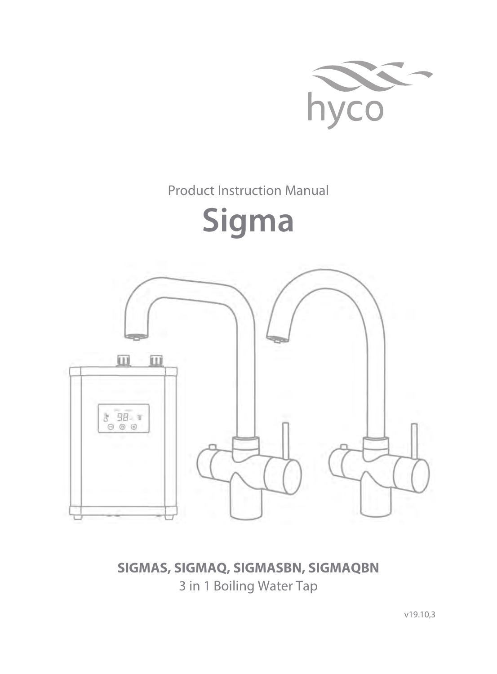

**SIGMAS, SIGMAQ, SIGMASBN, SIGMAQBN** 3 in 1 Boiling Water Tap

v19.10,3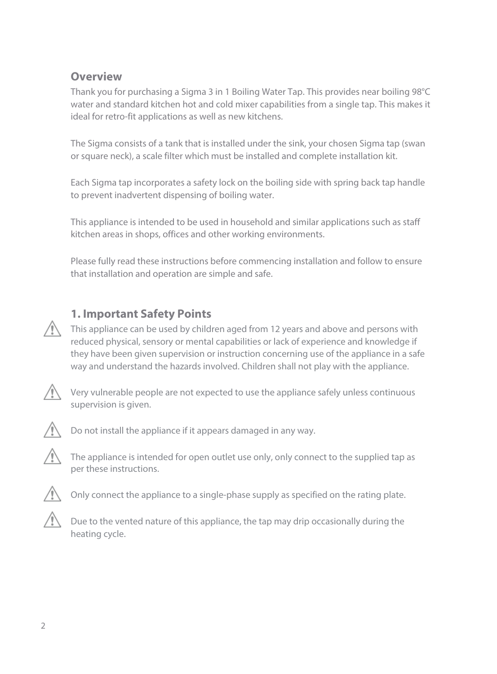## **Overview**

Thank you for purchasing a Sigma 3 in 1 Boiling Water Tap. This provides near boiling 98°C water and standard kitchen hot and cold mixer capabilities from a single tap. This makes it ideal for retro-fit applications as well as new kitchens.

The Sigma consists of a tank that is installed under the sink, your chosen Sigma tap (swan or square neck), a scale filter which must be installed and complete installation kit.

Each Sigma tap incorporates a safety lock on the boiling side with spring back tap handle to prevent inadvertent dispensing of boiling water.

This appliance is intended to be used in household and similar applications such as staff kitchen areas in shops, offices and other working environments.

Please fully read these instructions before commencing installation and follow to ensure that installation and operation are simple and safe.



## **1. Important Safety Points**

This appliance can be used by children aged from 12 years and above and persons with reduced physical, sensory or mental capabilities or lack of experience and knowledge if they have been given supervision or instruction concerning use of the appliance in a safe way and understand the hazards involved. Children shall not play with the appliance.



Very vulnerable people are not expected to use the appliance safely unless continuous supervision is given.



Do not install the appliance if it appears damaged in any way.



The appliance is intended for open outlet use only, only connect to the supplied tap as per these instructions.



Only connect the appliance to a single-phase supply as specified on the rating plate.



Due to the vented nature of this appliance, the tap may drip occasionally during the heating cycle.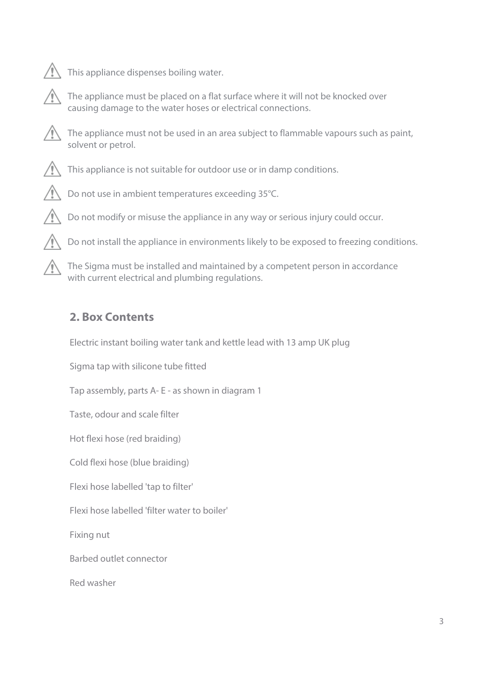

This appliance dispenses boiling water.



The appliance must be placed on a flat surface where it will not be knocked over causing damage to the water hoses or electrical connections.



The appliance must not be used in an area subject to flammable vapours such as paint, solvent or petrol.

This appliance is not suitable for outdoor use or in damp conditions.

Do not use in ambient temperatures exceeding 35°C.



Do not install the appliance in environments likely to be exposed to freezing conditions.

The Sigma must be installed and maintained by a competent person in accordance with current electrical and plumbing regulations.

## **2. Box Contents**

Electric instant boiling water tank and kettle lead with 13 amp UK plug

Sigma tap with silicone tube fitted

Tap assembly, parts A- E - as shown in diagram 1

Taste, odour and scale filter

Hot flexi hose (red braiding)

Cold flexi hose (blue braiding)

Flexi hose labelled 'tap to filter'

Flexi hose labelled 'filter water to boiler'

Fixing nut

Barbed outlet connector

Red washer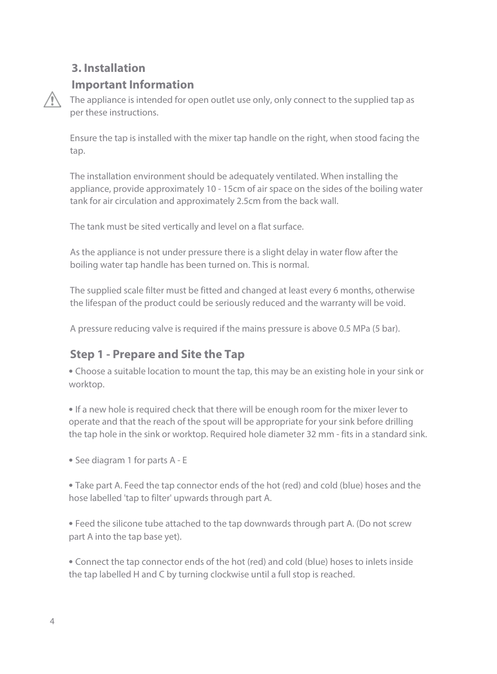## **3. Installation**



#### **Important Information**

The appliance is intended for open outlet use only, only connect to the supplied tap as per these instructions.

Ensure the tap is installed with the mixer tap handle on the right, when stood facing the tap.

The installation environment should be adequately ventilated. When installing the appliance, provide approximately 10 - 15cm of air space on the sides of the boiling water tank for air circulation and approximately 2.5cm from the back wall.

The tank must be sited vertically and level on a flat surface.

As the appliance is not under pressure there is a slight delay in water flow after the boiling water tap handle has been turned on. This is normal.

The supplied scale filter must be fitted and changed at least every 6 months, otherwise the lifespan of the product could be seriously reduced and the warranty will be void.

A pressure reducing valve is required if the mains pressure is above 0.5 MPa (5 bar).

# **Step 1 - Prepare and Site the Tap**

**•** Choose a suitable location to mount the tap, this may be an existing hole in your sink or worktop.

**•** If a new hole is required check that there will be enough room for the mixer lever to operate and that the reach of the spout will be appropriate for your sink before drilling the tap hole in the sink or worktop. Required hole diameter 32 mm - fits in a standard sink.

**•** See diagram 1 for parts A - E

**•** Take part A. Feed the tap connector ends of the hot (red) and cold (blue) hoses and the hose labelled 'tap to filter' upwards through part A.

**•** Feed the silicone tube attached to the tap downwards through part A. (Do not screw part A into the tap base yet).

**•** Connect the tap connector ends of the hot (red) and cold (blue) hoses to inlets inside the tap labelled H and C by turning clockwise until a full stop is reached.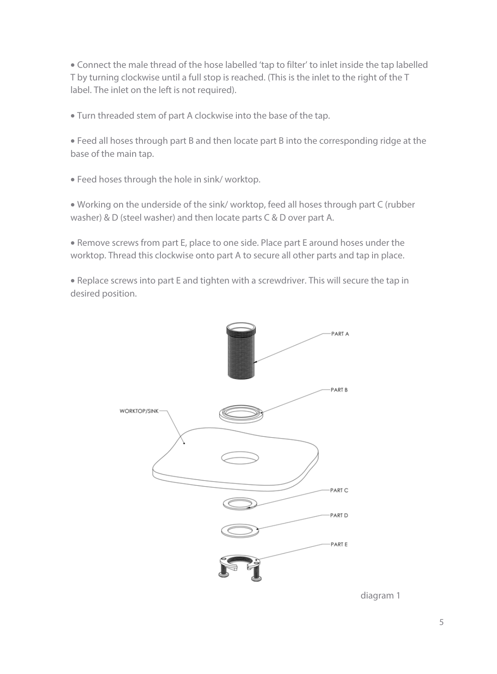• Connect the male thread of the hose labelled 'tap to filter' to inlet inside the tap labelled T by turning clockwise until a full stop is reached. (This is the inlet to the right of the T label. The inlet on the left is not required).

• Turn threaded stem of part A clockwise into the base of the tap.

• Feed all hoses through part B and then locate part B into the corresponding ridge at the base of the main tap.

• Feed hoses through the hole in sink/ worktop.

• Working on the underside of the sink/ worktop, feed all hoses through part C (rubber washer) & D (steel washer) and then locate parts C & D over part A.

• Remove screws from part E, place to one side. Place part E around hoses under the worktop. Thread this clockwise onto part A to secure all other parts and tap in place.

• Replace screws into part E and tighten with a screwdriver. This will secure the tap in<br>desired a settime desired position.



diagram 1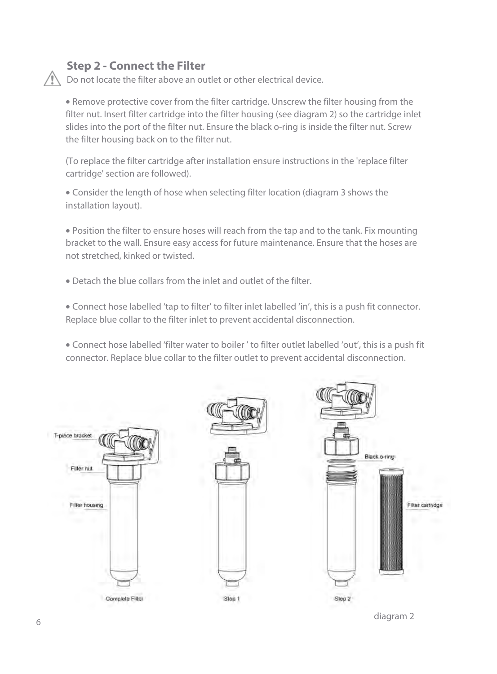## **Step 2 - Connect the Filter**

Do not locate the filter above an outlet or other electrical device.

• Remove protective cover from the filter cartridge. Unscrew the filter housing from the filter nut. Insert filter cartridge into the filter housing (see diagram 2) so the cartridge inlet slides into the port of the filter nut. Ensure the black o-ring is inside the filter nut. Screw the filter housing back on to the filter nut.

(To replace the filter cartridge after installation ensure instructions in the 'replace filter cartridge' section are followed).

• Consider the length of hose when selecting filter location (diagram 3 shows the installation layout).

• Position the filter to ensure hoses will reach from the tap and to the tank. Fix mounting bracket to the wall. Ensure easy access for future maintenance. Ensure that the hoses are not stretched, kinked or twisted.

- Detach the blue collars from the inlet and outlet of the filter.
- Connect hose labelled 'tap to filter' to filter inlet labelled 'in', this is a push fit connector. Replace blue collar to the filter inlet to prevent accidental disconnection.
- Connect hose labelled 'filter water to boiler ' to filter outlet labelled 'out', this is a push fit connector. Replace blue collar to the filter outlet to prevent accidental disconnection.



diagram 2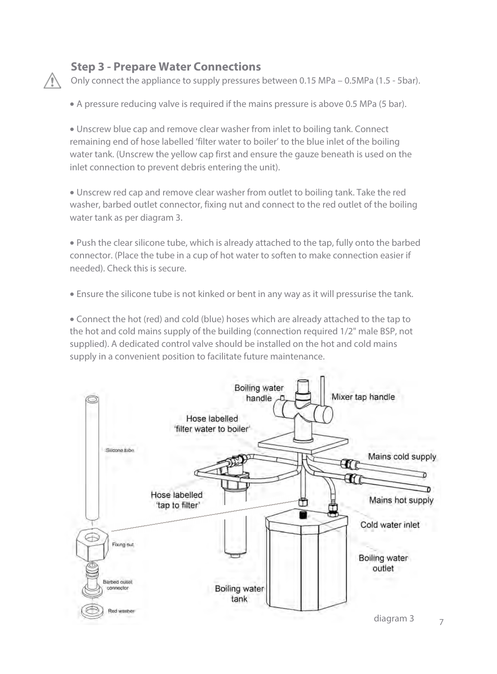#### **Step 3 - Prepare Water Connections**

Only connect the appliance to supply pressures between 0.15 MPa – 0.5MPa (1.5 - 5bar).

• A pressure reducing valve is required if the mains pressure is above 0.5 MPa (5 bar).

• Unscrew blue cap and remove clear washer from inlet to boiling tank. Connect remaining end of hose labelled 'filter water to boiler' to the blue inlet of the boiling water tank. (Unscrew the yellow cap first and ensure the gauze beneath is used on the inlet connection to prevent debris entering the unit).

• Unscrew red cap and remove clear washer from outlet to boiling tank. Take the red washer, barbed outlet connector, fixing nut and connect to the red outlet of the boiling water tank as per diagram 3.

• Push the clear silicone tube, which is already attached to the tap, fully onto the barbed connector. (Place the tube in a cup of hot water to soften to make connection easier if needed). Check this is secure.

• Ensure the silicone tube is not kinked or bent in any way as it will pressurise the tank.

• Connect the hot (red) and cold (blue) hoses which are already attached to the tap to the hot and cold mains supply of the building (connection required 1/2" male BSP, not supplied). A dedicated control valve should be installed on the hot and cold mains supply in a convenient position to facilitate future maintenance.

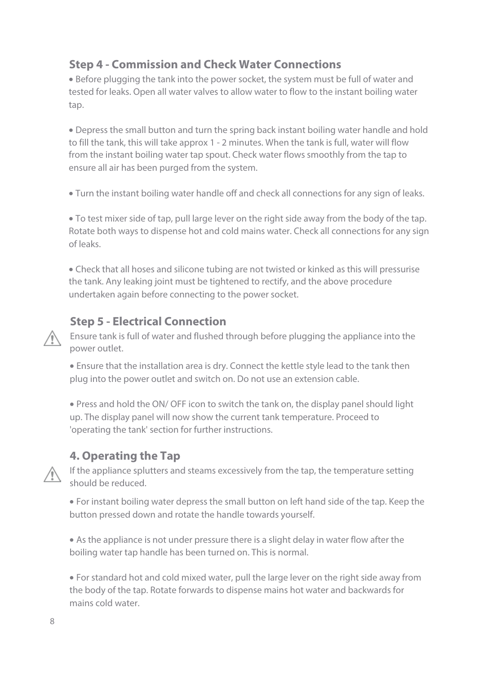## **Step 4 - Commission and Check Water Connections**

• Before plugging the tank into the power socket, the system must be full of water and tested for leaks. Open all water valves to allow water to flow to the instant boiling water tap.

• Depress the small button and turn the spring back instant boiling water handle and hold to fill the tank, this will take approx 1 - 2 minutes. When the tank is full, water will flow from the instant boiling water tap spout. Check water flows smoothly from the tap to ensure all air has been purged from the system.

• Turn the instant boiling water handle off and check all connections for any sign of leaks.

• To test mixer side of tap, pull large lever on the right side away from the body of the tap. Rotate both ways to dispense hot and cold mains water. Check all connections for any sign of leaks.

• Check that all hoses and silicone tubing are not twisted or kinked as this will pressurise the tank. Any leaking joint must be tightened to rectify, and the above procedure undertaken again before connecting to the power socket.

#### **Step 5 - Electrical Connection**

Ensure tank is full of water and flushed through before plugging the appliance into the power outlet.

• Ensure that the installation area is dry. Connect the kettle style lead to the tank then plug into the power outlet and switch on. Do not use an extension cable.

• Press and hold the ON/ OFF icon to switch the tank on, the display panel should light up. The display panel will now show the current tank temperature. Proceed to 'operating the tank' section for further instructions.

## **4. Operating the Tap**



If the appliance splutters and steams excessively from the tap, the temperature setting should be reduced.

• For instant boiling water depress the small button on left hand side of the tap. Keep the button pressed down and rotate the handle towards yourself.

• As the appliance is not under pressure there is a slight delay in water flow after the boiling water tap handle has been turned on. This is normal.

• For standard hot and cold mixed water, pull the large lever on the right side away from the body of the tap. Rotate forwards to dispense mains hot water and backwards for mains cold water.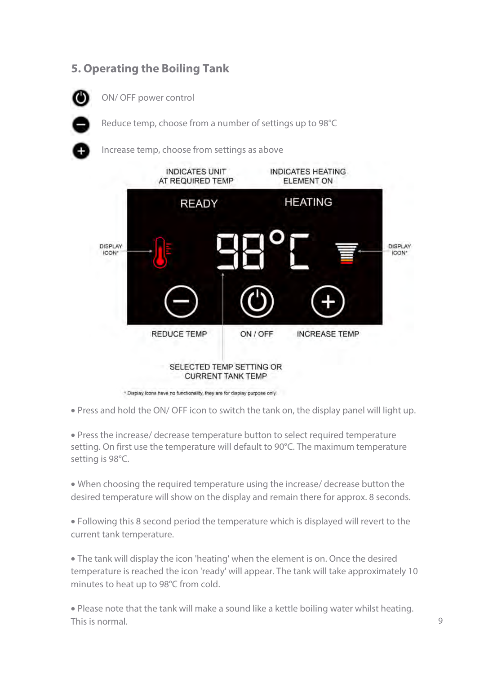# **5. Operating the Boiling Tank**



ON/ OFF power control

Reduce temp, choose from a number of settings up to 98°C



Increase temp, choose from settings as above



\* Display Icons have no functionality, they are for display purpose only

• Press and hold the ON/ OFF icon to switch the tank on, the display panel will light up.

• Press the increase/ decrease temperature button to select required temperature setting. On first use the temperature will default to 90°C. The maximum temperature setting is 98°C.

• When choosing the required temperature using the increase/ decrease button the desired temperature will show on the display and remain there for approx. 8 seconds.

• Following this 8 second period the temperature which is displayed will revert to the current tank temperature.

• The tank will display the icon 'heating' when the element is on. Once the desired temperature is reached the icon 'ready' will appear. The tank will take approximately 10 minutes to heat up to 98°C from cold.

• Please note that the tank will make a sound like a kettle boiling water whilst heating. This is normal.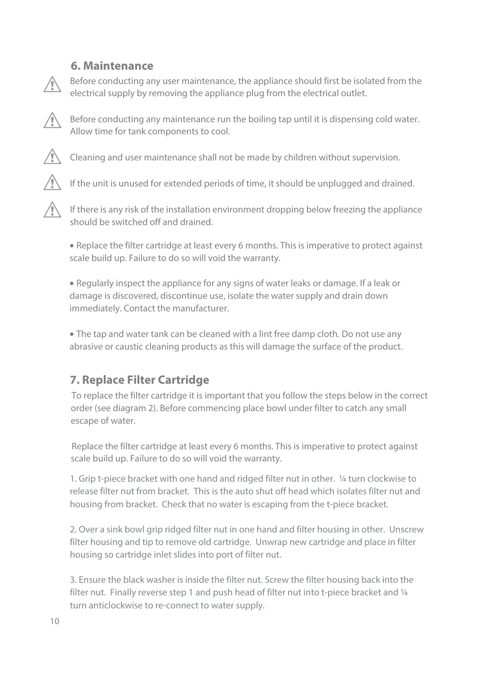#### **6. Maintenance**

Before conducting any user maintenance, the appliance should first be isolated from the electrical supply by removing the appliance plug from the electrical outlet.



Before conducting any maintenance run the boiling tap until it is dispensing cold water. Allow time for tank components to cool.



Cleaning and user maintenance shall not be made by children without supervision.



If the unit is unused for extended periods of time, it should be unplugged and drained.

If there is any risk of the installation environment dropping below freezing the appliance should be switched off and drained.

• Replace the filter cartridge at least every 6 months. This is imperative to protect against scale build up. Failure to do so will void the warranty.

• Regularly inspect the appliance for any signs of water leaks or damage. If a leak or damage is discovered, discontinue use, isolate the water supply and drain down immediately. Contact the manufacturer.

• The tap and water tank can be cleaned with a lint free damp cloth. Do not use any abrasive or caustic cleaning products as this will damage the surface of the product.

# **7. Replace Filter Cartridge**

To replace the filter cartridge it is important that you follow the steps below in the correct order (see diagram 2). Before commencing place bowl under filter to catch any small escape of water.

Replace the filter cartridge at least every 6 months. This is imperative to protect against scale build up. Failure to do so will void the warranty.

1. Grip t-piece bracket with one hand and ridged filter nut in other. ¼ turn clockwise to release filter nut from bracket. This is the auto shut off head which isolates filter nut and housing from bracket. Check that no water is escaping from the t-piece bracket.

2. Over a sink bowl grip ridged filter nut in one hand and filter housing in other. Unscrew filter housing and tip to remove old cartridge. Unwrap new cartridge and place in filter housing so cartridge inlet slides into port of filter nut.

3. Ensure the black washer is inside the filter nut. Screw the filter housing back into the filter nut. Finally reverse step 1 and push head of filter nut into t-piece bracket and  $\frac{1}{4}$ turn anticlockwise to re-connect to water supply.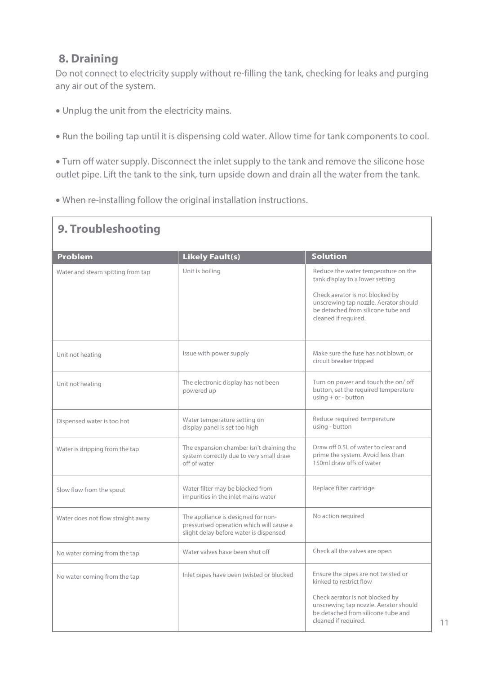## **8. Draining**

Do not connect to electricity supply without re-filling the tank, checking for leaks and purging any air out of the system.

- Unplug the unit from the electricity mains.
- Run the boiling tap until it is dispensing cold water. Allow time for tank components to cool.

• Turn off water supply. Disconnect the inlet supply to the tank and remove the silicone hose outlet pipe. Lift the tank to the sink, turn upside down and drain all the water from the tank.

• When re-installing follow the original installation instructions.

| 9. Troubleshooting                |                                                                                                                          |                                                                                                                                        |  |
|-----------------------------------|--------------------------------------------------------------------------------------------------------------------------|----------------------------------------------------------------------------------------------------------------------------------------|--|
| Problem                           | <b>Likely Fault(s)</b>                                                                                                   | <b>Solution</b>                                                                                                                        |  |
| Water and steam spitting from tap | Unit is boiling                                                                                                          | Reduce the water temperature on the<br>tank display to a lower setting                                                                 |  |
|                                   |                                                                                                                          | Check aerator is not blocked by<br>unscrewing tap nozzle. Aerator should<br>be detached from silicone tube and<br>cleaned if required. |  |
| Unit not heating                  | Issue with power supply                                                                                                  | Make sure the fuse has not blown, or<br>circuit breaker tripped                                                                        |  |
| Unit not heating                  | The electronic display has not been<br>powered up                                                                        | Turn on power and touch the on/ off<br>button, set the required temperature<br>$using + or - button$                                   |  |
| Dispensed water is too hot        | Water temperature setting on<br>display panel is set too high                                                            | Reduce required temperature<br>using - button                                                                                          |  |
| Water is dripping from the tap    | The expansion chamber isn't draining the<br>system correctly due to very small draw<br>off of water                      | Draw off 0.5L of water to clear and<br>prime the system. Avoid less than<br>150ml draw offs of water                                   |  |
| Slow flow from the spout          | Water filter may be blocked from<br>impurities in the inlet mains water                                                  | Replace filter cartridge                                                                                                               |  |
| Water does not flow straight away | The appliance is designed for non-<br>pressurised operation which will cause a<br>slight delay before water is dispensed | No action required                                                                                                                     |  |
| No water coming from the tap      | Water valves have been shut off                                                                                          | Check all the valves are open                                                                                                          |  |
| No water coming from the tap      | Inlet pipes have been twisted or blocked                                                                                 | Ensure the pipes are not twisted or<br>kinked to restrict flow                                                                         |  |
|                                   |                                                                                                                          | Check aerator is not blocked by<br>unscrewing tap nozzle. Aerator should<br>be detached from silicone tube and<br>cleaned if required. |  |